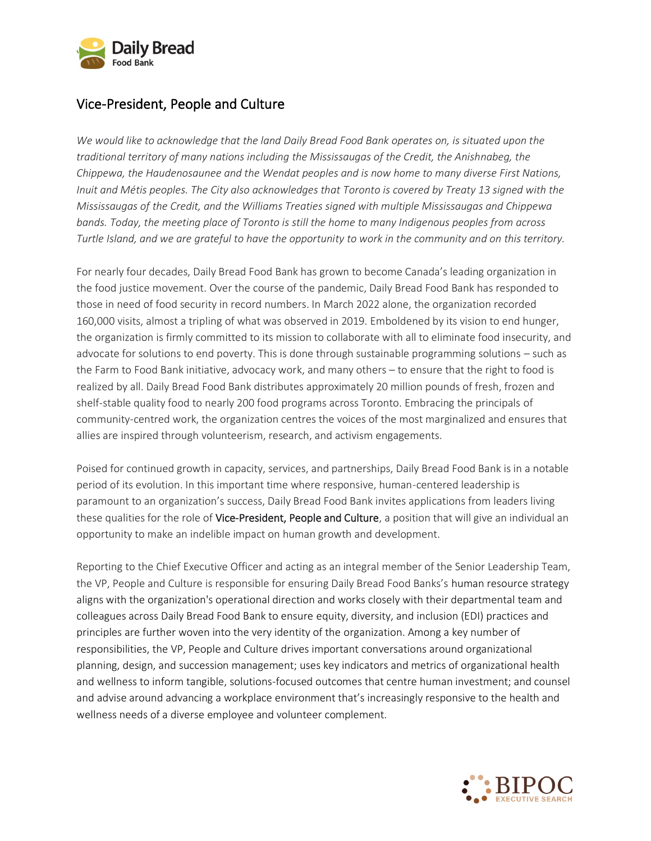

## Vice-President, People and Culture

*We would like to acknowledge that the land Daily Bread Food Bank operates on, is situated upon the traditional territory of many nations including the Mississaugas of the Credit, the Anishnabeg, the Chippewa, the Haudenosaunee and the Wendat peoples and is now home to many diverse First Nations, Inuit and Métis peoples. The City also acknowledges that Toronto is covered by Treaty 13 signed with the Mississaugas of the Credit, and the Williams Treaties signed with multiple Mississaugas and Chippewa bands. Today, the meeting place of Toronto is still the home to many Indigenous peoples from across Turtle Island, and we are grateful to have the opportunity to work in the community and on this territory.*

For nearly four decades, Daily Bread Food Bank has grown to become Canada's leading organization in the food justice movement. Over the course of the pandemic, Daily Bread Food Bank has responded to those in need of food security in record numbers. In March 2022 alone, the organization recorded 160,000 visits, almost a tripling of what was observed in 2019. Emboldened by its vision to end hunger, the organization is firmly committed to its mission to collaborate with all to eliminate food insecurity, and advocate for solutions to end poverty. This is done through sustainable programming solutions – such as the Farm to Food Bank initiative, advocacy work, and many others – to ensure that the right to food is realized by all. Daily Bread Food Bank distributes approximately 20 million pounds of fresh, frozen and shelf-stable quality food to nearly 200 food programs across Toronto. Embracing the principals of community-centred work, the organization centres the voices of the most marginalized and ensures that allies are inspired through volunteerism, research, and activism engagements.

Poised for continued growth in capacity, services, and partnerships, Daily Bread Food Bank is in a notable period of its evolution. In this important time where responsive, human-centered leadership is paramount to an organization's success, Daily Bread Food Bank invites applications from leaders living these qualities for the role of Vice-President, People and Culture, a position that will give an individual an opportunity to make an indelible impact on human growth and development.

Reporting to the Chief Executive Officer and acting as an integral member of the Senior Leadership Team, the VP, People and Culture is responsible for ensuring Daily Bread Food Banks's human resource strategy aligns with the organization's operational direction and works closely with their departmental team and colleagues across Daily Bread Food Bank to ensure equity, diversity, and inclusion (EDI) practices and principles are further woven into the very identity of the organization. Among a key number of responsibilities, the VP, People and Culture drives important conversations around organizational planning, design, and succession management; uses key indicators and metrics of organizational health and wellness to inform tangible, solutions-focused outcomes that centre human investment; and counsel and advise around advancing a workplace environment that's increasingly responsive to the health and wellness needs of a diverse employee and volunteer complement.